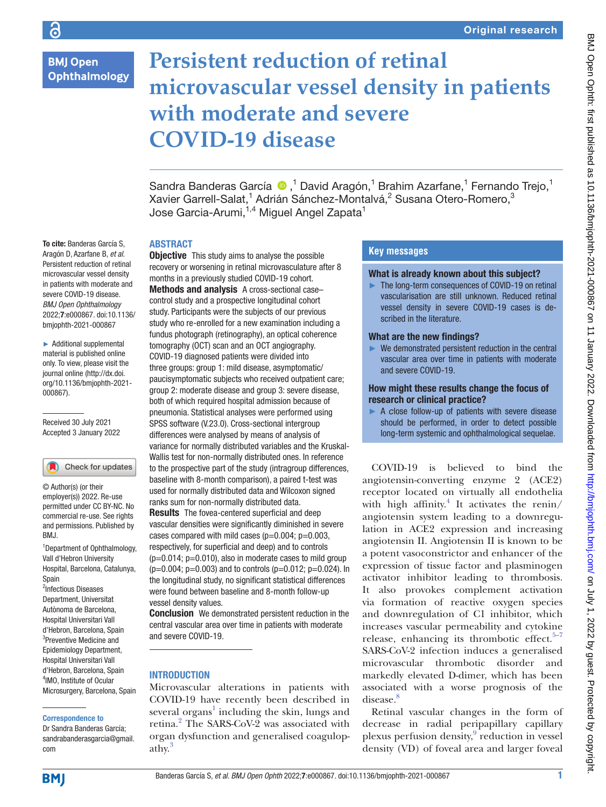## **BMJ Open Ophthalmology**

# **Persistent reduction of retinal microvascular vessel density in patients with moderate and severe COVID-19 disease**

SandraBanderas García ®,<sup>1</sup> David Aragón,<sup>1</sup> Brahim Azarfane,<sup>1</sup> Fernando Trejo,<sup>1</sup> Xavier Garrell-Salat,<sup>1</sup> Adrián Sánchez-Montalvá,<sup>2</sup> Susana Otero-Romero,<sup>3</sup> Jose Garcia-Arumi, $^{1,4}$  Miguel Angel Zapata $^{\rm 1}$ 

## ABSTRACT

To cite: Banderas García S, Aragón D, Azarfane B, *et al*. Persistent reduction of retinal microvascular vessel density in patients with moderate and severe COVID-19 disease. *BMJ Open Ophthalmology* 2022;7:e000867. doi:10.1136/ bmjophth-2021-000867

► Additional supplemental material is published online only. To view, please visit the journal online ([http://dx.doi.](http://dx.doi.org/10.1136/bmjophth-2021-000867) [org/10.1136/bmjophth-2021-](http://dx.doi.org/10.1136/bmjophth-2021-000867) [000867](http://dx.doi.org/10.1136/bmjophth-2021-000867)).

Received 30 July 2021 Accepted 3 January 2022

## Check for updates

© Author(s) (or their employer(s)) 2022. Re-use permitted under CC BY-NC. No commercial re-use. See rights and permissions. Published by BMJ.

<sup>1</sup>Department of Ophthalmology, Vall d'Hebron University Hospital, Barcelona, Catalunya, Spain

2 Infectious Diseases Department, Universitat Autònoma de Barcelona, Hospital Universitari Vall d'Hebron, Barcelona, Spain <sup>3</sup>Preventive Medicine and Epidemiology Department, Hospital Universitari Vall d'Hebron, Barcelona, Spain 4 IMO, Institute of Ocular Microsurgery, Barcelona, Spain

#### Correspondence to

Dr Sandra Banderas García; sandrabanderasgarcia@gmail. com

**Objective** This study aims to analyse the possible recovery or worsening in retinal microvasculature after 8 months in a previously studied COVID-19 cohort. Methods and analysis A cross-sectional case– control study and a prospective longitudinal cohort study. Participants were the subjects of our previous study who re-enrolled for a new examination including a fundus photograph (retinography), an optical coherence tomography (OCT) scan and an OCT angiography. COVID-19 diagnosed patients were divided into three groups: group 1: mild disease, asymptomatic/ paucisymptomatic subjects who received outpatient care; group 2: moderate disease and group 3: severe disease, both of which required hospital admission because of pneumonia. Statistical analyses were performed using SPSS software (V.23.0). Cross-sectional intergroup differences were analysed by means of analysis of variance for normally distributed variables and the Kruskal-Wallis test for non-normally distributed ones. In reference to the prospective part of the study (intragroup differences, baseline with 8-month comparison), a paired t-test was used for normally distributed data and Wilcoxon signed ranks sum for non-normally distributed data. Results The fovea-centered superficial and deep vascular densities were significantly diminished in severe

cases compared with mild cases  $(p=0.004; p=0.003)$ . respectively, for superficial and deep) and to controls  $(p=0.014; p=0.010)$ , also in moderate cases to mild group  $(p=0.004; p=0.003)$  and to controls  $(p=0.012; p=0.024)$ . In the longitudinal study, no significant statistical differences were found between baseline and 8-month follow-up vessel density values.

Conclusion We demonstrated persistent reduction in the central vascular area over time in patients with moderate and severe COVID-19.

## INTRODUCTION

Microvascular alterations in patients with COVID-19 have recently been described in several  $\text{organs}^{1}$  including the skin, lungs and retina.<sup>2</sup> The SARS-CoV-2 was associated with organ dysfunction and generalised coagulopathy.<sup>3</sup>

## **Key messages**

## What is already known about this subject?

► The long-term consequences of COVID-19 on retinal vascularisation are still unknown. Reduced retinal vessel density in severe COVID-19 cases is described in the literature.

#### What are the new findings?

► We demonstrated persistent reduction in the central vascular area over time in patients with moderate and severe COVID-19.

## How might these results change the focus of research or clinical practice?

► A *c*lose follow-up of patients with severe disease should be performed, in order to detect possible long-term systemic and ophthalmological sequelae.

COVID-19 is believed to bind the angiotensin-converting enzyme 2 (ACE2) receptor located on virtually all endothelia with high affinity.<sup>4</sup> It activates the renin/ angiotensin system leading to a downregulation in ACE2 expression and increasing angiotensin II. Angiotensin II is known to be a potent vasoconstrictor and enhancer of the expression of tissue factor and plasminogen activator inhibitor leading to thrombosis. It also provokes complement activation via formation of reactive oxygen species and downregulation of C1 inhibitor, which increases vascular permeability and cytokine release, enhancing its thrombotic effect. $5-7$ SARS-CoV-2 infection induces a generalised microvascular thrombotic disorder and markedly elevated D-dimer, which has been associated with a worse prognosis of the disease.<sup>[8](#page-7-1)</sup>

Retinal vascular changes in the form of decrease in radial peripapillary capillary plexus perfusion density,<sup>[9](#page-7-2)</sup> reduction in vessel density (VD) of foveal area and larger foveal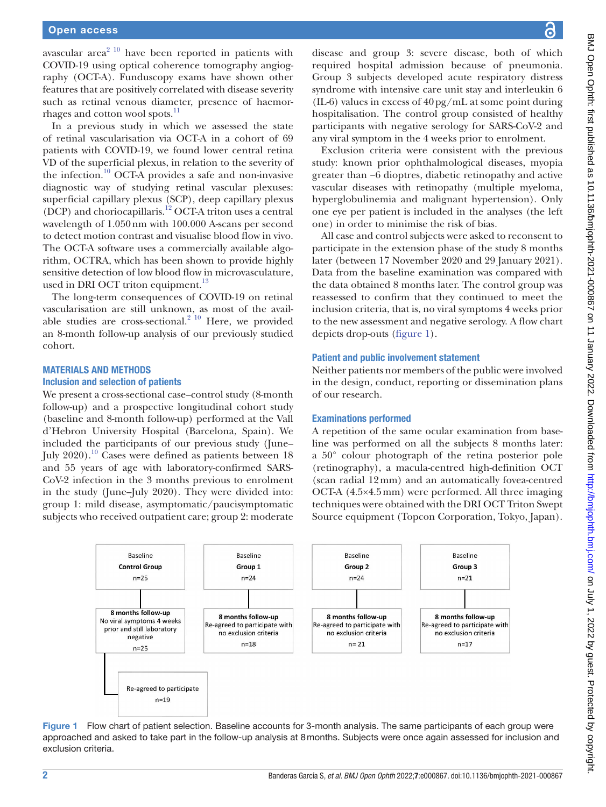avascular area $2^{10}$  have been reported in patients with COVID-19 using optical coherence tomography angiography (OCT-A). Funduscopy exams have shown other features that are positively correlated with disease severity such as retinal venous diameter, presence of haemorrhages and cotton wool spots.<sup>11</sup>

In a previous study in which we assessed the state of retinal vascularisation via OCT-A in a cohort of 69 patients with COVID-19, we found lower central retina VD of the superficial plexus, in relation to the severity of the infection.<sup>10</sup> OCT-A provides a safe and non-invasive diagnostic way of studying retinal vascular plexuses: superficial capillary plexus (SCP), deep capillary plexus (DCP) and choriocapillaris[.12](#page-7-6) OCT-A triton uses a central wavelength of 1.050nm with 100.000 A-scans per second to detect motion contrast and visualise blood flow in vivo. The OCT-A software uses a commercially available algorithm, OCTRA, which has been shown to provide highly sensitive detection of low blood flow in microvasculature, used in DRI OCT triton equipment.<sup>13</sup>

The long-term consequences of COVID-19 on retinal vascularisation are still unknown, as most of the available studies are cross-sectional. $2^{10}$  Here, we provided an 8-month follow-up analysis of our previously studied cohort.

#### MATERIALS AND METHODS Inclusion and selection of patients

We present a cross-sectional case–control study (8-month follow-up) and a prospective longitudinal cohort study (baseline and 8-month follow-up) performed at the Vall d'Hebron University Hospital (Barcelona, Spain). We included the participants of our previous study (June– July 2020).[10](#page-7-5) Cases were defined as patients between 18 and 55 years of age with laboratory-confirmed SARS-CoV-2 infection in the 3 months previous to enrolment in the study (June–July 2020). They were divided into: group 1: mild disease, asymptomatic/paucisymptomatic subjects who received outpatient care; group 2: moderate

disease and group 3: severe disease, both of which required hospital admission because of pneumonia. Group 3 subjects developed acute respiratory distress syndrome with intensive care unit stay and interleukin 6 (IL-6) values in excess of 40pg/mL at some point during hospitalisation. The control group consisted of healthy participants with negative serology for SARS-CoV-2 and any viral symptom in the 4 weeks prior to enrolment.

Exclusion criteria were consistent with the previous study: known prior ophthalmological diseases, myopia greater than −6 dioptres, diabetic retinopathy and active vascular diseases with retinopathy (multiple myeloma, hyperglobulinemia and malignant hypertension). Only one eye per patient is included in the analyses (the left one) in order to minimise the risk of bias.

All case and control subjects were asked to reconsent to participate in the extension phase of the study 8 months later (between 17 November 2020 and 29 January 2021). Data from the baseline examination was compared with the data obtained 8 months later. The control group was reassessed to confirm that they continued to meet the inclusion criteria, that is, no viral symptoms 4 weeks prior to the new assessment and negative serology. A flow chart depicts drop-outs [\(figure](#page-1-0) 1).

### Patient and public involvement statement

Neither patients nor members of the public were involved in the design, conduct, reporting or dissemination plans of our research.

## Examinations performed

A repetition of the same ocular examination from baseline was performed on all the subjects 8 months later: a 50° colour photograph of the retina posterior pole (retinography), a macula-centred high-definition OCT (scan radial 12mm) and an automatically fovea-centred OCT-A (4.5×4.5mm) were performed. All three imaging techniques were obtained with the DRI OCT Triton Swept Source equipment (Topcon Corporation, Tokyo, Japan).



<span id="page-1-0"></span>Figure 1 Flow chart of patient selection. Baseline accounts for 3-month analysis. The same participants of each group were approached and asked to take part in the follow-up analysis at 8months. Subjects were once again assessed for inclusion and exclusion criteria.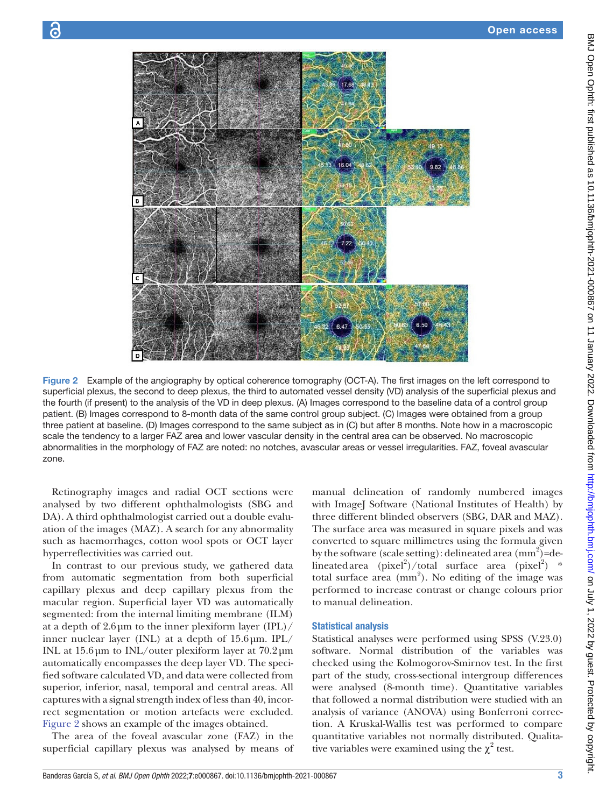

Figure 2 Example of the angiography by optical coherence tomography (OCT-A). The first images on the left correspond to superficial plexus, the second to deep plexus, the third to automated vessel density (VD) analysis of the superficial plexus and the fourth (if present) to the analysis of the VD in deep plexus. (A) Images correspond to the baseline data of a control group patient. (B) Images correspond to 8-month data of the same control group subject. (C) Images were obtained from a group three patient at baseline. (D) Images correspond to the same subject as in (C) but after 8 months. Note how in a macroscopic scale the tendency to a larger FAZ area and lower vascular density in the central area can be observed. No macroscopic abnormalities in the morphology of FAZ are noted: no notches, avascular areas or vessel irregularities. FAZ, foveal avascular zone.

Retinography images and radial OCT sections were analysed by two different ophthalmologists (SBG and DA). A third ophthalmologist carried out a double evaluation of the images (MAZ). A search for any abnormality such as haemorrhages, cotton wool spots or OCT layer hyperreflectivities was carried out.

In contrast to our previous study, we gathered data from automatic segmentation from both superficial capillary plexus and deep capillary plexus from the macular region. Superficial layer VD was automatically segmented: from the internal limiting membrane (ILM) at a depth of  $2.6 \mu m$  to the inner plexiform layer (IPL)/ inner nuclear layer (INL) at a depth of 15.6µm. IPL/ INL at 15.6µm to INL/outer plexiform layer at 70.2µm automatically encompasses the deep layer VD. The specified software calculated VD, and data were collected from superior, inferior, nasal, temporal and central areas. All captures with a signal strength index of less than 40, incorrect segmentation or motion artefacts were excluded. [Figure](#page-2-0) 2 shows an example of the images obtained.

The area of the foveal avascular zone (FAZ) in the superficial capillary plexus was analysed by means of

<span id="page-2-0"></span>manual delineation of randomly numbered images with ImageJ Software (National Institutes of Health) by three different blinded observers (SBG, DAR and MAZ). The surface area was measured in square pixels and was converted to square millimetres using the formula given by the software (scale setting): delineated area  $\text{(mm)}^2$ )=delineated area  $(pixel^2)/total$  surface area  $(pixel^2)$  \* total surface area (mm<sup>2</sup>). No editing of the image was performed to increase contrast or change colours prior to manual delineation.

#### Statistical analysis

Statistical analyses were performed using SPSS (V.23.0) software. Normal distribution of the variables was checked using the Kolmogorov-Smirnov test. In the first part of the study, cross-sectional intergroup differences were analysed (8-month time). Quantitative variables that followed a normal distribution were studied with an analysis of variance (ANOVA) using Bonferroni correction. A Kruskal-Wallis test was performed to compare quantitative variables not normally distributed. Qualitative variables were examined using the  $\chi^2$  test.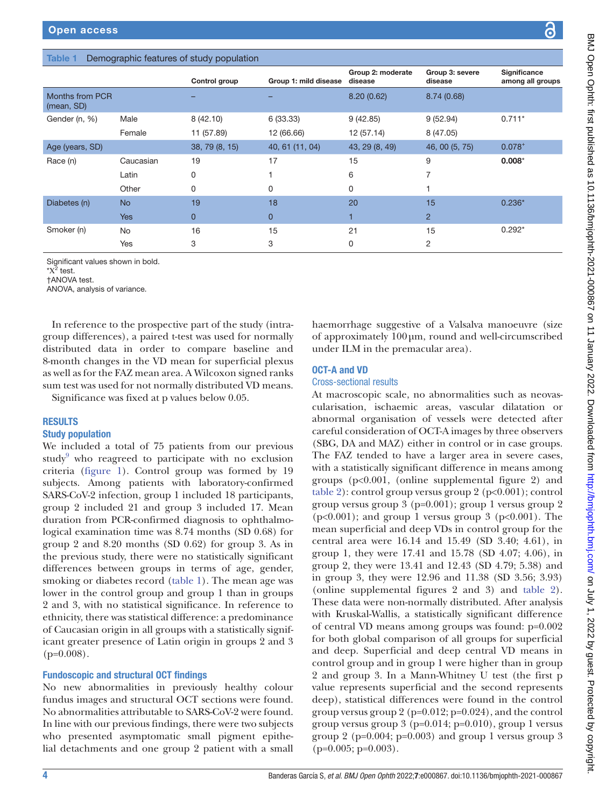## <span id="page-3-0"></span>Table 1 Demographic features of study population

|                               |            | Control group  | Group 1: mild disease | Group 2: moderate<br>disease | Group 3: severe<br>disease | Significance<br>among all groups |
|-------------------------------|------------|----------------|-----------------------|------------------------------|----------------------------|----------------------------------|
| Months from PCR<br>(mean, SD) |            |                |                       | 8.20(0.62)                   | 8.74(0.68)                 |                                  |
| Gender (n, %)                 | Male       | 8(42.10)       | 6(33.33)              | 9(42.85)                     | 9(52.94)                   | $0.711*$                         |
|                               | Female     | 11 (57.89)     | 12 (66.66)            | 12 (57.14)                   | 8 (47.05)                  |                                  |
| Age (years, SD)               |            | 38, 79 (8, 15) | 40, 61 (11, 04)       | 43, 29 (8, 49)               | 46, 00 (5, 75)             | $0.078^{+}$                      |
| Race (n)                      | Caucasian  | 19             | 17                    | 15                           | 9                          | $0.008*$                         |
|                               | Latin      | 0              |                       | 6                            |                            |                                  |
|                               | Other      | 0              | 0                     | 0                            |                            |                                  |
| Diabetes (n)                  | <b>No</b>  | 19             | 18                    | 20                           | 15                         | $0.236*$                         |
|                               | <b>Yes</b> | $\overline{0}$ | $\overline{0}$        |                              | $\overline{2}$             |                                  |
| Smoker (n)                    | <b>No</b>  | 16             | 15                    | 21                           | 15                         | $0.292*$                         |
|                               | Yes        | 3              | 3                     | 0                            | 2                          |                                  |

Significant values shown in bold.

 $*{\rm X}^2$  test.

†ANOVA test.

ANOVA, analysis of variance.

In reference to the prospective part of the study (intragroup differences), a paired t-test was used for normally distributed data in order to compare baseline and 8-month changes in the VD mean for superficial plexus as well as for the FAZ mean area. A Wilcoxon signed ranks sum test was used for not normally distributed VD means.

Significance was fixed at p values below 0.05.

## RESULTS

## Study population

We included a total of 75 patients from our previous study<sup>[9](#page-7-2)</sup> who reagreed to participate with no exclusion criteria [\(figure](#page-1-0) 1). Control group was formed by 19 subjects. Among patients with laboratory-confirmed SARS-CoV-2 infection, group 1 included 18 participants, group 2 included 21 and group 3 included 17. Mean duration from PCR-confirmed diagnosis to ophthalmological examination time was 8.74 months (SD 0.68) for group 2 and 8.20 months (SD 0.62) for group 3. As in the previous study, there were no statistically significant differences between groups in terms of age, gender, smoking or diabetes record ([table](#page-3-0) 1). The mean age was lower in the control group and group 1 than in groups 2 and 3, with no statistical significance. In reference to ethnicity, there was statistical difference: a predominance of Caucasian origin in all groups with a statistically significant greater presence of Latin origin in groups 2 and 3  $(p=0.008)$ .

## Fundoscopic and structural OCT findings

No new abnormalities in previously healthy colour fundus images and structural OCT sections were found. No abnormalities attributable to SARS-CoV-2 were found. In line with our previous findings, there were two subjects who presented asymptomatic small pigment epithelial detachments and one group 2 patient with a small

haemorrhage suggestive of a Valsalva manoeuvre (size of approximately 100µm, round and well-circumscribed under ILM in the premacular area).

## OCT-A and VD

## Cross-sectional results

At macroscopic scale, no abnormalities such as neovascularisation, ischaemic areas, vascular dilatation or abnormal organisation of vessels were detected after careful consideration of OCT-A images by three observers (SBG, DA and MAZ) either in control or in case groups. The FAZ tended to have a larger area in severe cases, with a statistically significant difference in means among groups (p<0.001, [\(online supplemental figure 2](https://dx.doi.org/10.1136/bmjophth-2021-000867)) and [table](#page-4-0) 2): control group versus group 2 (p<0.001); control group versus group 3 (p=0.001); group 1 versus group 2  $(p<0.001)$ ; and group 1 versus group 3  $(p<0.001)$ . The mean superficial and deep VDs in control group for the central area were 16.14 and 15.49 (SD 3.40; 4.61), in group 1, they were 17.41 and 15.78 (SD 4.07; 4.06), in group 2, they were 13.41 and 12.43 (SD 4.79; 5.38) and in group 3, they were 12.96 and 11.38 (SD 3.56; 3.93) [\(online supplemental figures 2 and 3](https://dx.doi.org/10.1136/bmjophth-2021-000867)) and [table](#page-4-0) 2). These data were non-normally distributed. After analysis with Kruskal-Wallis, a statistically significant difference of central VD means among groups was found: p=0.002 for both global comparison of all groups for superficial and deep. Superficial and deep central VD means in control group and in group 1 were higher than in group 2 and group 3. In a Mann-Whitney U test (the first p value represents superficial and the second represents deep), statistical differences were found in the control group versus group 2 ( $p=0.012$ ;  $p=0.024$ ), and the control group versus group  $3$  (p=0.014; p=0.010), group 1 versus group 2 ( $p=0.004$ ;  $p=0.003$ ) and group 1 versus group 3  $(p=0.005; p=0.003)$ .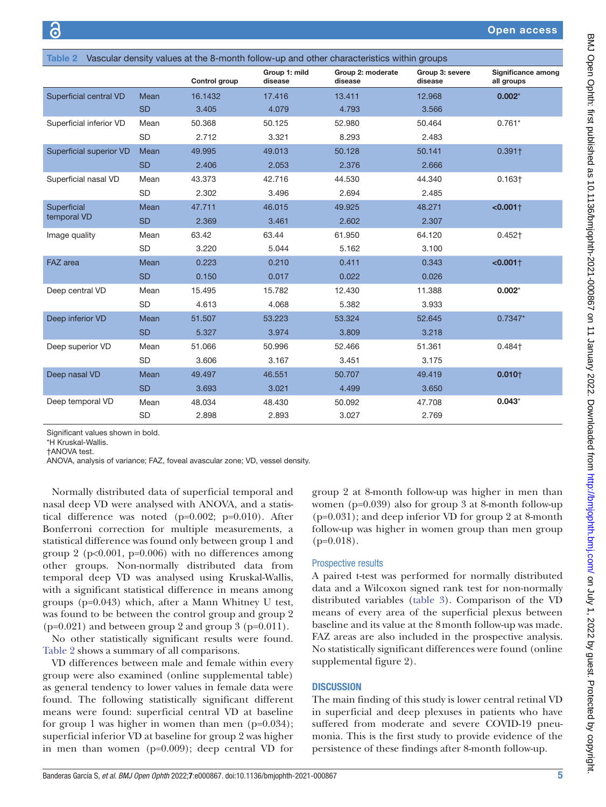<span id="page-4-0"></span>

| Vascular density values at the 8-month follow-up and other characteristics within groups<br><b>Table 2</b> |           |               |                          |                              |                            |                                  |
|------------------------------------------------------------------------------------------------------------|-----------|---------------|--------------------------|------------------------------|----------------------------|----------------------------------|
|                                                                                                            |           | Control group | Group 1: mild<br>disease | Group 2: moderate<br>disease | Group 3: severe<br>disease | Significance among<br>all groups |
| Superficial central VD                                                                                     | Mean      | 16.1432       | 17.416                   | 13.411                       | 12.968                     | $0.002*$                         |
|                                                                                                            | <b>SD</b> | 3.405         | 4.079                    | 4.793                        | 3.566                      |                                  |
| Superficial inferior VD                                                                                    | Mean      | 50.368        | 50.125                   | 52.980                       | 50.464                     | $0.761*$                         |
|                                                                                                            | <b>SD</b> | 2.712         | 3.321                    | 8.293                        | 2.483                      |                                  |
| <b>Superficial superior VD</b>                                                                             | Mean      | 49.995        | 49.013                   | 50.128                       | 50.141                     | $0.391+$                         |
|                                                                                                            | <b>SD</b> | 2.406         | 2.053                    | 2.376                        | 2.666                      |                                  |
| Superficial nasal VD                                                                                       | Mean      | 43.373        | 42.716                   | 44.530                       | 44.340                     | $0.163 +$                        |
|                                                                                                            | <b>SD</b> | 2.302         | 3.496                    | 2.694                        | 2.485                      |                                  |
| Superficial<br>temporal VD                                                                                 | Mean      | 47.711        | 46.015                   | 49.925                       | 48.271                     | $< 0.001$ <sup>+</sup>           |
|                                                                                                            | <b>SD</b> | 2.369         | 3.461                    | 2.602                        | 2.307                      |                                  |
| Image quality                                                                                              | Mean      | 63.42         | 63.44                    | 61.950                       | 64.120                     | $0.452+$                         |
|                                                                                                            | <b>SD</b> | 3.220         | 5.044                    | 5.162                        | 3.100                      |                                  |
| FAZ area                                                                                                   | Mean      | 0.223         | 0.210                    | 0.411                        | 0.343                      | $< 0.001 +$                      |
|                                                                                                            | <b>SD</b> | 0.150         | 0.017                    | 0.022                        | 0.026                      |                                  |
| Deep central VD                                                                                            | Mean      | 15.495        | 15.782                   | 12.430                       | 11.388                     | $0.002*$                         |
|                                                                                                            | <b>SD</b> | 4.613         | 4.068                    | 5.382                        | 3.933                      |                                  |
| Deep inferior VD                                                                                           | Mean      | 51.507        | 53.223                   | 53.324                       | 52.645                     | $0.7347*$                        |
|                                                                                                            | <b>SD</b> | 5.327         | 3.974                    | 3.809                        | 3.218                      |                                  |
| Deep superior VD                                                                                           | Mean      | 51.066        | 50.996                   | 52.466                       | 51.361                     | 0.484†                           |
|                                                                                                            | <b>SD</b> | 3.606         | 3.167                    | 3.451                        | 3.175                      |                                  |
| Deep nasal VD                                                                                              | Mean      | 49.497        | 46.551                   | 50.707                       | 49.419                     | $0.010+$                         |
|                                                                                                            | <b>SD</b> | 3.693         | 3.021                    | 4.499                        | 3.650                      |                                  |
| Deep temporal VD                                                                                           | Mean      | 48.034        | 48.430                   | 50.092                       | 47.708                     | $0.043*$                         |
|                                                                                                            | <b>SD</b> | 2.898         | 2.893                    | 3.027                        | 2.769                      |                                  |

Significant values shown in bold.

\*H Kruskal-Wallis. †ANOVA test.

ANOVA, analysis of variance; FAZ, foveal avascular zone; VD, vessel density.

Normally distributed data of superficial temporal and nasal deep VD were analysed with ANOVA, and a statistical difference was noted (p=0.002; p=0.010). After Bonferroni correction for multiple measurements, a statistical difference was found only between group 1 and group 2 ( $p<0.001$ ,  $p=0.006$ ) with no differences among other groups. Non-normally distributed data from temporal deep VD was analysed using Kruskal-Wallis, with a significant statistical difference in means among groups (p=0.043) which, after a Mann Whitney U test, was found to be between the control group and group 2  $(p=0.021)$  and between group 2 and group 3  $(p=0.011)$ .

No other statistically significant results were found. [Table](#page-4-0) 2 shows a summary of all comparisons.

VD differences between male and female within every group were also examined ([online supplemental table\)](https://dx.doi.org/10.1136/bmjophth-2021-000867) as general tendency to lower values in female data were found. The following statistically significant different means were found: superficial central VD at baseline for group 1 was higher in women than men  $(p=0.034)$ ; superficial inferior VD at baseline for group 2 was higher in men than women (p=0.009); deep central VD for

group 2 at 8-month follow-up was higher in men than women (p=0.039) also for group 3 at 8-month follow-up (p=0.031); and deep inferior VD for group 2 at 8-month follow-up was higher in women group than men group  $(p=0.018)$ .

#### Prospective results

A paired t-test was performed for normally distributed data and a Wilcoxon signed rank test for non-normally distributed variables ([table](#page-5-0) 3). Comparison of the VD means of every area of the superficial plexus between baseline and its value at the 8month follow-up was made. FAZ areas are also included in the prospective analysis. No statistically significant differences were found [\(online](https://dx.doi.org/10.1136/bmjophth-2021-000867) [supplemental figure 2](https://dx.doi.org/10.1136/bmjophth-2021-000867)).

## **DISCUSSION**

The main finding of this study is lower central retinal VD in superficial and deep plexuses in patients who have suffered from moderate and severe COVID-19 pneumonia. This is the first study to provide evidence of the persistence of these findings after 8-month follow-up.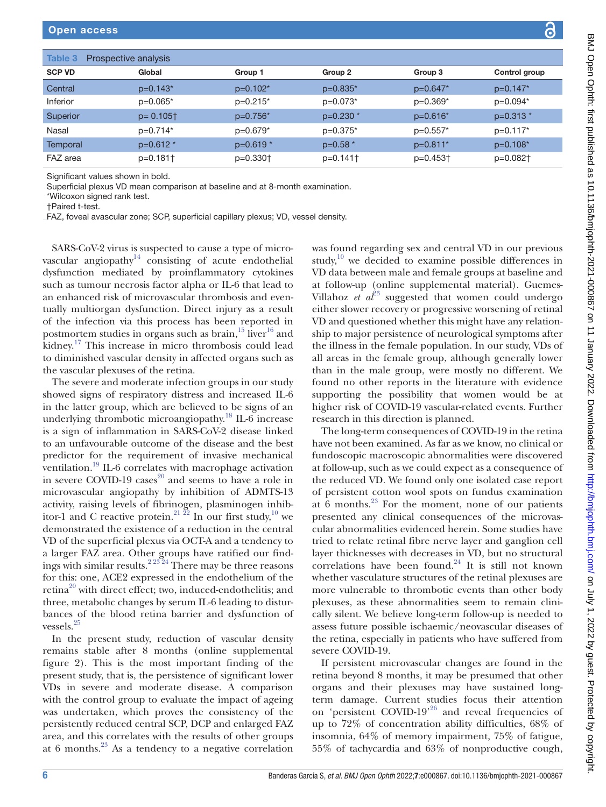<span id="page-5-0"></span>

| Table 3<br>Prospective analysis |                          |                        |            |                        |                      |  |
|---------------------------------|--------------------------|------------------------|------------|------------------------|----------------------|--|
| <b>SCP VD</b>                   | Global                   | Group 1                | Group 2    | Group 3                | Control group        |  |
| Central                         | $p=0.143*$               | $p=0.102*$             | $p=0.835*$ | $p=0.647*$             | $p=0.147*$           |  |
| Inferior                        | $p=0.065*$               | $p=0.215*$             | $p=0.073*$ | $p=0.369*$             | $p=0.094*$           |  |
| Superior                        | $p = 0.105$ <sup>+</sup> | $p=0.756*$             | $p=0.230*$ | $p=0.616*$             | $p=0.313*$           |  |
| Nasal                           | $p=0.714*$               | $p=0.679*$             | $p=0.375*$ | $p=0.557*$             | $p=0.117*$           |  |
| Temporal                        | $p=0.612*$               | $p=0.619*$             | $p=0.58$ * | $p=0.811*$             | $p=0.108*$           |  |
| FAZ area                        | $p=0.181$                | $p=0.330$ <sup>+</sup> | $p=0.141$  | $p=0.453$ <sup>+</sup> | p=0.082 <sup>+</sup> |  |

Significant values shown in bold.

Superficial plexus VD mean comparison at baseline and at 8-month examination.

\*Wilcoxon signed rank test.

†Paired t-test.

FAZ, foveal avascular zone; SCP, superficial capillary plexus; VD, vessel density.

SARS-CoV-2 virus is suspected to cause a type of microvascular angiopathy<sup>14</sup> consisting of acute endothelial dysfunction mediated by proinflammatory cytokines such as tumour necrosis factor alpha or IL-6 that lead to an enhanced risk of microvascular thrombosis and eventually multiorgan dysfunction. Direct injury as a result of the infection via this process has been reported in postmortem studies in organs such as brain, $15$  liver $16$  and kidney.[17](#page-7-11) This increase in micro thrombosis could lead to diminished vascular density in affected organs such as the vascular plexuses of the retina.

The severe and moderate infection groups in our study showed signs of respiratory distress and increased IL-6 in the latter group, which are believed to be signs of an underlying thrombotic microangiopathy. [18](#page-7-12) IL-6 increase is a sign of inflammation in SARS-CoV-2 disease linked to an unfavourable outcome of the disease and the best predictor for the requirement of invasive mechanical ventilation.<sup>19</sup> IL-6 correlates with macrophage activation in severe COVID-19 cases<sup>20</sup> and seems to have a role in microvascular angiopathy by inhibition of ADMTS-13 activity, raising levels of fibrinogen, plasminogen inhibitor-1 and C reactive protein.<sup>21  $\bar{2}^2$ </sup> In our first study,<sup>[10](#page-7-5)</sup> we demonstrated the existence of a reduction in the central VD of the superficial plexus via OCT-A and a tendency to a larger FAZ area. Other groups have ratified our findings with similar results.<sup>2 23 24</sup> There may be three reasons for this: one, ACE2 expressed in the endothelium of the retina<sup>20</sup> with direct effect; two, induced-endothelitis; and three, metabolic changes by serum IL-6 leading to disturbances of the blood retina barrier and dysfunction of vessels.[25](#page-7-16)

In the present study, reduction of vascular density remains stable after 8 months ([online supplemental](https://dx.doi.org/10.1136/bmjophth-2021-000867) [figure 2\)](https://dx.doi.org/10.1136/bmjophth-2021-000867). This is the most important finding of the present study, that is, the persistence of significant lower VDs in severe and moderate disease. A comparison with the control group to evaluate the impact of ageing was undertaken, which proves the consistency of the persistently reduced central SCP, DCP and enlarged FAZ area, and this correlates with the results of other groups at 6 months. $^{23}$  As a tendency to a negative correlation

was found regarding sex and central VD in our previous study, $10$  we decided to examine possible differences in VD data between male and female groups at baseline and at follow-up ([online supplemental material](https://dx.doi.org/10.1136/bmjophth-2021-000867)). Guemes-Villahoz *et*  $a^{23}$  suggested that women could undergo either slower recovery or progressive worsening of retinal VD and questioned whether this might have any relationship to major persistence of neurological symptoms after the illness in the female population. In our study, VDs of all areas in the female group, although generally lower than in the male group, were mostly no different. We found no other reports in the literature with evidence supporting the possibility that women would be at higher risk of COVID-19 vascular-related events. Further research in this direction is planned.

The long-term consequences of COVID-19 in the retina have not been examined. As far as we know, no clinical or fundoscopic macroscopic abnormalities were discovered at follow-up, such as we could expect as a consequence of the reduced VD. We found only one isolated case report of persistent cotton wool spots on fundus examination at  $\hat{6}$  months.<sup>23</sup> For the moment, none of our patients presented any clinical consequences of the microvascular abnormalities evidenced herein. Some studies have tried to relate retinal fibre nerve layer and ganglion cell layer thicknesses with decreases in VD, but no structural correlations have been found.<sup>[24](#page-7-18)</sup> It is still not known whether vasculature structures of the retinal plexuses are more vulnerable to thrombotic events than other body plexuses, as these abnormalities seem to remain clinically silent. We believe long-term follow-up is needed to assess future possible ischaemic/neovascular diseases of the retina, especially in patients who have suffered from severe COVID-19.

If persistent microvascular changes are found in the retina beyond 8 months, it may be presumed that other organs and their plexuses may have sustained longterm damage. Current studies focus their attention on 'persistent COVID-19'<sup>26</sup> and reveal frequencies of up to 72% of concentration ability difficulties, 68% of insomnia, 64% of memory impairment, 75% of fatigue, 55% of tachycardia and 63% of nonproductive cough,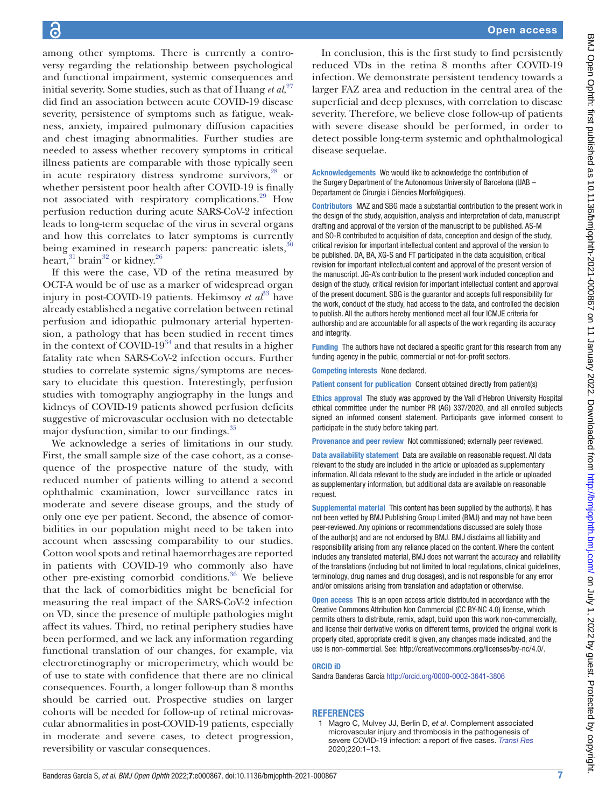among other symptoms. There is currently a controversy regarding the relationship between psychological and functional impairment, systemic consequences and initial severity. Some studies, such as that of Huang *et al*, [27](#page-7-20) did find an association between acute COVID-19 disease severity, persistence of symptoms such as fatigue, weakness, anxiety, impaired pulmonary diffusion capacities and chest imaging abnormalities. Further studies are needed to assess whether recovery symptoms in critical illness patients are comparable with those typically seen in acute respiratory distress syndrome survivors,<sup>28</sup> or whether persistent poor health after COVID-19 is finally not associated with respiratory complications.[29](#page-7-22) How perfusion reduction during acute SARS-CoV-2 infection leads to long-term sequelae of the virus in several organs and how this correlates to later symptoms is currently being examined in research papers: pancreatic islets,<sup>3</sup> heart,  $31$  brain<sup>32</sup> or kidney.<sup>[26](#page-7-19)</sup>

If this were the case, VD of the retina measured by OCT-A would be of use as a marker of widespread organ injury in post-COVID-19 patients. Hekimsoy *et al*<sup>33</sup> have already established a negative correlation between retinal perfusion and idiopathic pulmonary arterial hypertension, a pathology that has been studied in recent times in the context of COVID-19 $34$  and that results in a higher fatality rate when SARS-CoV-2 infection occurs. Further studies to correlate systemic signs/symptoms are necessary to elucidate this question. Interestingly, perfusion studies with tomography angiography in the lungs and kidneys of COVID-19 patients showed perfusion deficits suggestive of microvascular occlusion with no detectable major dysfunction, similar to our findings.<sup>[35](#page-7-28)</sup>

We acknowledge a series of limitations in our study. First, the small sample size of the case cohort, as a consequence of the prospective nature of the study, with reduced number of patients willing to attend a second ophthalmic examination, lower surveillance rates in moderate and severe disease groups, and the study of only one eye per patient. Second, the absence of comorbidities in our population might need to be taken into account when assessing comparability to our studies. Cotton wool spots and retinal haemorrhages are reported in patients with COVID-19 who commonly also have other pre-existing comorbid conditions.<sup>36</sup> We believe that the lack of comorbidities might be beneficial for measuring the real impact of the SARS-CoV-2 infection on VD, since the presence of multiple pathologies might affect its values. Third, no retinal periphery studies have been performed, and we lack any information regarding functional translation of our changes, for example, via electroretinography or microperimetry, which would be of use to state with confidence that there are no clinical consequences. Fourth, a longer follow-up than 8 months should be carried out. Prospective studies on larger cohorts will be needed for follow-up of retinal microvascular abnormalities in post-COVID-19 patients, especially in moderate and severe cases, to detect progression, reversibility or vascular consequences.

In conclusion, this is the first study to find persistently reduced VDs in the retina 8 months after COVID-19 infection. We demonstrate persistent tendency towards a larger FAZ area and reduction in the central area of the superficial and deep plexuses, with correlation to disease severity. Therefore, we believe close follow-up of patients with severe disease should be performed, in order to detect possible long-term systemic and ophthalmological disease sequelae.

Acknowledgements We would like to acknowledge the contribution of the Surgery Department of the Autonomous University of Barcelona (UAB – Departament de Cirurgia i Ciències Morfològiques).

Contributors MAZ and SBG made a substantial contribution to the present work in the design of the study, acquisition, analysis and interpretation of data, manuscript drafting and approval of the version of the manuscript to be published. AS-M and SO-R contributed to acquisition of data, conception and design of the study, critical revision for important intellectual content and approval of the version to be published. DA, BA, XG-S and FT participated in the data acquisition, critical revision for important intellectual content and approval of the present version of the manuscript. JG-A's contribution to the present work included conception and design of the study, critical revision for important intellectual content and approval of the present document. SBG is the guarantor and accepts full responsibility for the work, conduct of the study, had access to the data, and controlled the decision to publish. All the authors hereby mentioned meet all four ICMJE criteria for authorship and are accountable for all aspects of the work regarding its accuracy and integrity.

Funding The authors have not declared a specific grant for this research from any funding agency in the public, commercial or not-for-profit sectors.

Competing interests None declared.

Patient consent for publication Consent obtained directly from patient(s)

Ethics approval The study was approved by the Vall d'Hebron University Hospital ethical committee under the number PR (AG) 337/2020, and all enrolled subjects signed an informed consent statement. Participants gave informed consent to participate in the study before taking part.

Provenance and peer review Not commissioned; externally peer reviewed.

Data availability statement Data are available on reasonable request. All data relevant to the study are included in the article or uploaded as supplementary information. All data relevant to the study are included in the article or uploaded as supplementary information, but additional data are available on reasonable request.

Supplemental material This content has been supplied by the author(s). It has not been vetted by BMJ Publishing Group Limited (BMJ) and may not have been peer-reviewed. Any opinions or recommendations discussed are solely those of the author(s) and are not endorsed by BMJ. BMJ disclaims all liability and responsibility arising from any reliance placed on the content. Where the content includes any translated material, BMJ does not warrant the accuracy and reliability of the translations (including but not limited to local regulations, clinical guidelines, terminology, drug names and drug dosages), and is not responsible for any error and/or omissions arising from translation and adaptation or otherwise.

Open access This is an open access article distributed in accordance with the Creative Commons Attribution Non Commercial (CC BY-NC 4.0) license, which permits others to distribute, remix, adapt, build upon this work non-commercially, and license their derivative works on different terms, provided the original work is properly cited, appropriate credit is given, any changes made indicated, and the use is non-commercial. See:<http://creativecommons.org/licenses/by-nc/4.0/>.

#### ORCID iD

Sandra Banderas García<http://orcid.org/0000-0002-3641-3806>

#### **REFERENCES**

1 Magro C, Mulvey JJ, Berlin D, *et al*. Complement associated microvascular injury and thrombosis in the pathogenesis of severe COVID-19 infection: a report of five cases. *[Transl Res](http://dx.doi.org/10.1016/j.trsl.2020.04.007)* 2020;220:1–13.